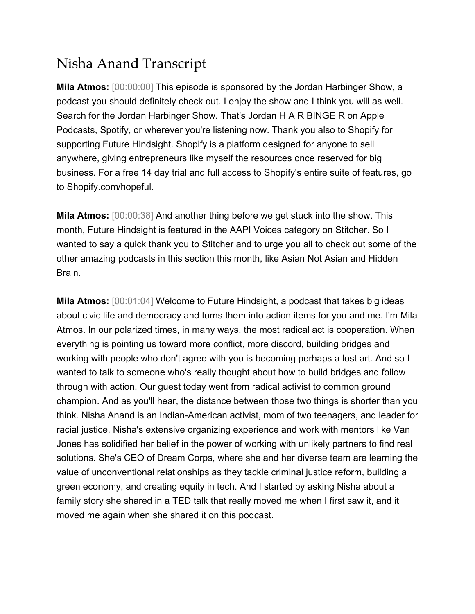## Nisha Anand Transcript

**Mila Atmos:** [00:00:00] This episode is sponsored by the Jordan Harbinger Show, a podcast you should definitely check out. I enjoy the show and I think you will as well. Search for the Jordan Harbinger Show. That's Jordan H A R BINGE R on Apple Podcasts, Spotify, or wherever you're listening now. Thank you also to Shopify for supporting Future Hindsight. Shopify is a platform designed for anyone to sell anywhere, giving entrepreneurs like myself the resources once reserved for big business. For a free 14 day trial and full access to Shopify's entire suite of features, go to Shopify.com/hopeful.

**Mila Atmos:** [00:00:38] And another thing before we get stuck into the show. This month, Future Hindsight is featured in the AAPI Voices category on Stitcher. So I wanted to say a quick thank you to Stitcher and to urge you all to check out some of the other amazing podcasts in this section this month, like Asian Not Asian and Hidden Brain.

**Mila Atmos:** [00:01:04] Welcome to Future Hindsight, a podcast that takes big ideas about civic life and democracy and turns them into action items for you and me. I'm Mila Atmos. In our polarized times, in many ways, the most radical act is cooperation. When everything is pointing us toward more conflict, more discord, building bridges and working with people who don't agree with you is becoming perhaps a lost art. And so I wanted to talk to someone who's really thought about how to build bridges and follow through with action. Our guest today went from radical activist to common ground champion. And as you'll hear, the distance between those two things is shorter than you think. Nisha Anand is an Indian-American activist, mom of two teenagers, and leader for racial justice. Nisha's extensive organizing experience and work with mentors like Van Jones has solidified her belief in the power of working with unlikely partners to find real solutions. She's CEO of Dream Corps, where she and her diverse team are learning the value of unconventional relationships as they tackle criminal justice reform, building a green economy, and creating equity in tech. And I started by asking Nisha about a family story she shared in a TED talk that really moved me when I first saw it, and it moved me again when she shared it on this podcast.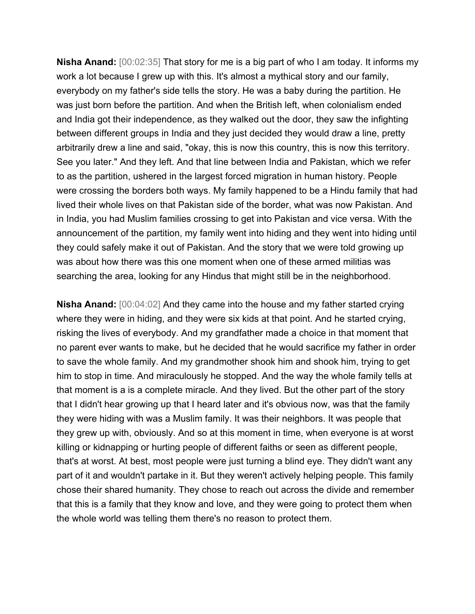**Nisha Anand:** [00:02:35] That story for me is a big part of who I am today. It informs my work a lot because I grew up with this. It's almost a mythical story and our family, everybody on my father's side tells the story. He was a baby during the partition. He was just born before the partition. And when the British left, when colonialism ended and India got their independence, as they walked out the door, they saw the infighting between different groups in India and they just decided they would draw a line, pretty arbitrarily drew a line and said, "okay, this is now this country, this is now this territory. See you later." And they left. And that line between India and Pakistan, which we refer to as the partition, ushered in the largest forced migration in human history. People were crossing the borders both ways. My family happened to be a Hindu family that had lived their whole lives on that Pakistan side of the border, what was now Pakistan. And in India, you had Muslim families crossing to get into Pakistan and vice versa. With the announcement of the partition, my family went into hiding and they went into hiding until they could safely make it out of Pakistan. And the story that we were told growing up was about how there was this one moment when one of these armed militias was searching the area, looking for any Hindus that might still be in the neighborhood.

**Nisha Anand:** [00:04:02] And they came into the house and my father started crying where they were in hiding, and they were six kids at that point. And he started crying, risking the lives of everybody. And my grandfather made a choice in that moment that no parent ever wants to make, but he decided that he would sacrifice my father in order to save the whole family. And my grandmother shook him and shook him, trying to get him to stop in time. And miraculously he stopped. And the way the whole family tells at that moment is a is a complete miracle. And they lived. But the other part of the story that I didn't hear growing up that I heard later and it's obvious now, was that the family they were hiding with was a Muslim family. It was their neighbors. It was people that they grew up with, obviously. And so at this moment in time, when everyone is at worst killing or kidnapping or hurting people of different faiths or seen as different people, that's at worst. At best, most people were just turning a blind eye. They didn't want any part of it and wouldn't partake in it. But they weren't actively helping people. This family chose their shared humanity. They chose to reach out across the divide and remember that this is a family that they know and love, and they were going to protect them when the whole world was telling them there's no reason to protect them.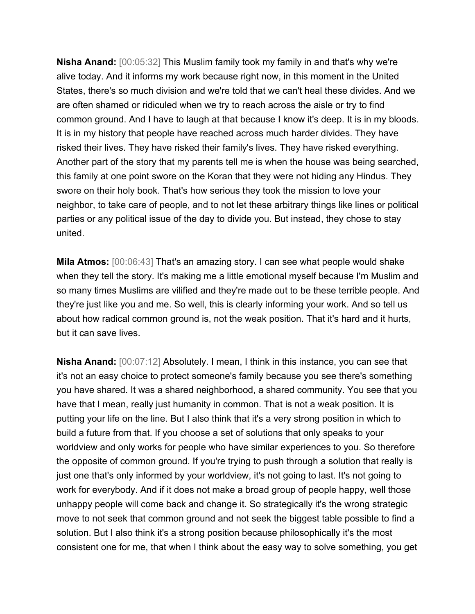**Nisha Anand:** [00:05:32] This Muslim family took my family in and that's why we're alive today. And it informs my work because right now, in this moment in the United States, there's so much division and we're told that we can't heal these divides. And we are often shamed or ridiculed when we try to reach across the aisle or try to find common ground. And I have to laugh at that because I know it's deep. It is in my bloods. It is in my history that people have reached across much harder divides. They have risked their lives. They have risked their family's lives. They have risked everything. Another part of the story that my parents tell me is when the house was being searched, this family at one point swore on the Koran that they were not hiding any Hindus. They swore on their holy book. That's how serious they took the mission to love your neighbor, to take care of people, and to not let these arbitrary things like lines or political parties or any political issue of the day to divide you. But instead, they chose to stay united.

**Mila Atmos:** [00:06:43] That's an amazing story. I can see what people would shake when they tell the story. It's making me a little emotional myself because I'm Muslim and so many times Muslims are vilified and they're made out to be these terrible people. And they're just like you and me. So well, this is clearly informing your work. And so tell us about how radical common ground is, not the weak position. That it's hard and it hurts, but it can save lives.

**Nisha Anand:** [00:07:12] Absolutely. I mean, I think in this instance, you can see that it's not an easy choice to protect someone's family because you see there's something you have shared. It was a shared neighborhood, a shared community. You see that you have that I mean, really just humanity in common. That is not a weak position. It is putting your life on the line. But I also think that it's a very strong position in which to build a future from that. If you choose a set of solutions that only speaks to your worldview and only works for people who have similar experiences to you. So therefore the opposite of common ground. If you're trying to push through a solution that really is just one that's only informed by your worldview, it's not going to last. It's not going to work for everybody. And if it does not make a broad group of people happy, well those unhappy people will come back and change it. So strategically it's the wrong strategic move to not seek that common ground and not seek the biggest table possible to find a solution. But I also think it's a strong position because philosophically it's the most consistent one for me, that when I think about the easy way to solve something, you get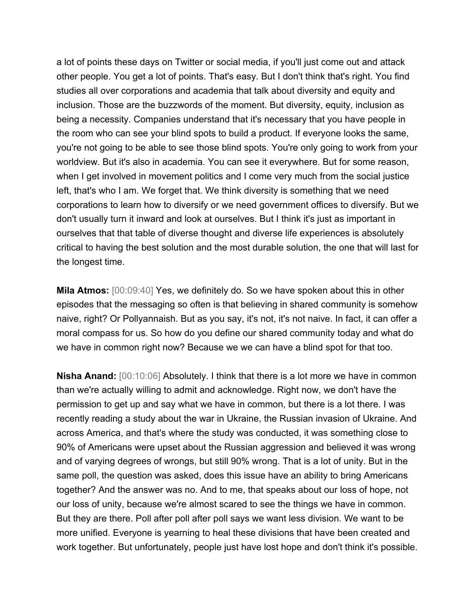a lot of points these days on Twitter or social media, if you'll just come out and attack other people. You get a lot of points. That's easy. But I don't think that's right. You find studies all over corporations and academia that talk about diversity and equity and inclusion. Those are the buzzwords of the moment. But diversity, equity, inclusion as being a necessity. Companies understand that it's necessary that you have people in the room who can see your blind spots to build a product. If everyone looks the same, you're not going to be able to see those blind spots. You're only going to work from your worldview. But it's also in academia. You can see it everywhere. But for some reason, when I get involved in movement politics and I come very much from the social justice left, that's who I am. We forget that. We think diversity is something that we need corporations to learn how to diversify or we need government offices to diversify. But we don't usually turn it inward and look at ourselves. But I think it's just as important in ourselves that that table of diverse thought and diverse life experiences is absolutely critical to having the best solution and the most durable solution, the one that will last for the longest time.

**Mila Atmos:** [00:09:40] Yes, we definitely do. So we have spoken about this in other episodes that the messaging so often is that believing in shared community is somehow naive, right? Or Pollyannaish. But as you say, it's not, it's not naive. In fact, it can offer a moral compass for us. So how do you define our shared community today and what do we have in common right now? Because we we can have a blind spot for that too.

**Nisha Anand:** [00:10:06] Absolutely. I think that there is a lot more we have in common than we're actually willing to admit and acknowledge. Right now, we don't have the permission to get up and say what we have in common, but there is a lot there. I was recently reading a study about the war in Ukraine, the Russian invasion of Ukraine. And across America, and that's where the study was conducted, it was something close to 90% of Americans were upset about the Russian aggression and believed it was wrong and of varying degrees of wrongs, but still 90% wrong. That is a lot of unity. But in the same poll, the question was asked, does this issue have an ability to bring Americans together? And the answer was no. And to me, that speaks about our loss of hope, not our loss of unity, because we're almost scared to see the things we have in common. But they are there. Poll after poll after poll says we want less division. We want to be more unified. Everyone is yearning to heal these divisions that have been created and work together. But unfortunately, people just have lost hope and don't think it's possible.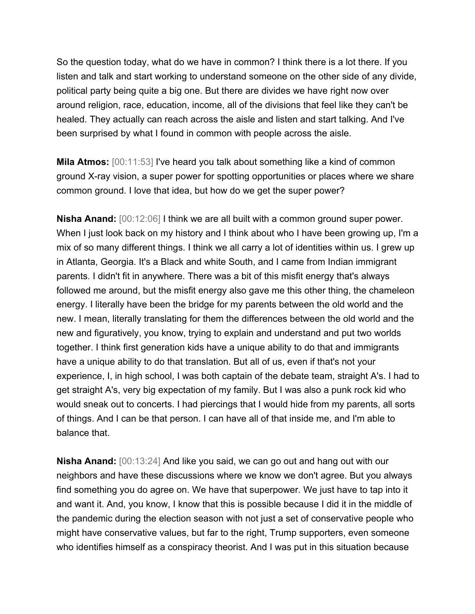So the question today, what do we have in common? I think there is a lot there. If you listen and talk and start working to understand someone on the other side of any divide, political party being quite a big one. But there are divides we have right now over around religion, race, education, income, all of the divisions that feel like they can't be healed. They actually can reach across the aisle and listen and start talking. And I've been surprised by what I found in common with people across the aisle.

**Mila Atmos:** [00:11:53] I've heard you talk about something like a kind of common ground X-ray vision, a super power for spotting opportunities or places where we share common ground. I love that idea, but how do we get the super power?

**Nisha Anand:** [00:12:06] I think we are all built with a common ground super power. When I just look back on my history and I think about who I have been growing up, I'm a mix of so many different things. I think we all carry a lot of identities within us. I grew up in Atlanta, Georgia. It's a Black and white South, and I came from Indian immigrant parents. I didn't fit in anywhere. There was a bit of this misfit energy that's always followed me around, but the misfit energy also gave me this other thing, the chameleon energy. I literally have been the bridge for my parents between the old world and the new. I mean, literally translating for them the differences between the old world and the new and figuratively, you know, trying to explain and understand and put two worlds together. I think first generation kids have a unique ability to do that and immigrants have a unique ability to do that translation. But all of us, even if that's not your experience, I, in high school, I was both captain of the debate team, straight A's. I had to get straight A's, very big expectation of my family. But I was also a punk rock kid who would sneak out to concerts. I had piercings that I would hide from my parents, all sorts of things. And I can be that person. I can have all of that inside me, and I'm able to balance that.

**Nisha Anand:** [00:13:24] And like you said, we can go out and hang out with our neighbors and have these discussions where we know we don't agree. But you always find something you do agree on. We have that superpower. We just have to tap into it and want it. And, you know, I know that this is possible because I did it in the middle of the pandemic during the election season with not just a set of conservative people who might have conservative values, but far to the right, Trump supporters, even someone who identifies himself as a conspiracy theorist. And I was put in this situation because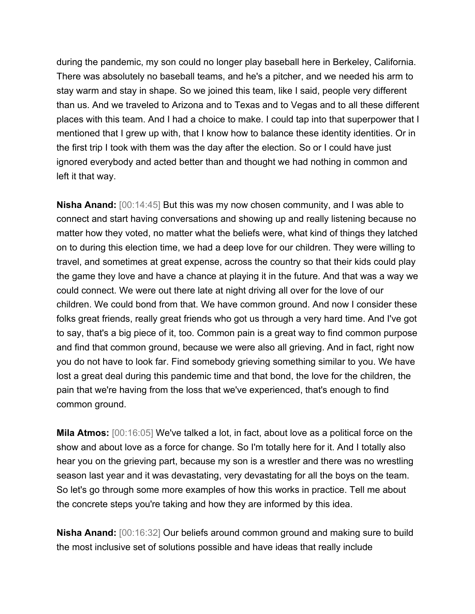during the pandemic, my son could no longer play baseball here in Berkeley, California. There was absolutely no baseball teams, and he's a pitcher, and we needed his arm to stay warm and stay in shape. So we joined this team, like I said, people very different than us. And we traveled to Arizona and to Texas and to Vegas and to all these different places with this team. And I had a choice to make. I could tap into that superpower that I mentioned that I grew up with, that I know how to balance these identity identities. Or in the first trip I took with them was the day after the election. So or I could have just ignored everybody and acted better than and thought we had nothing in common and left it that way.

**Nisha Anand:** [00:14:45] But this was my now chosen community, and I was able to connect and start having conversations and showing up and really listening because no matter how they voted, no matter what the beliefs were, what kind of things they latched on to during this election time, we had a deep love for our children. They were willing to travel, and sometimes at great expense, across the country so that their kids could play the game they love and have a chance at playing it in the future. And that was a way we could connect. We were out there late at night driving all over for the love of our children. We could bond from that. We have common ground. And now I consider these folks great friends, really great friends who got us through a very hard time. And I've got to say, that's a big piece of it, too. Common pain is a great way to find common purpose and find that common ground, because we were also all grieving. And in fact, right now you do not have to look far. Find somebody grieving something similar to you. We have lost a great deal during this pandemic time and that bond, the love for the children, the pain that we're having from the loss that we've experienced, that's enough to find common ground.

**Mila Atmos:** [00:16:05] We've talked a lot, in fact, about love as a political force on the show and about love as a force for change. So I'm totally here for it. And I totally also hear you on the grieving part, because my son is a wrestler and there was no wrestling season last year and it was devastating, very devastating for all the boys on the team. So let's go through some more examples of how this works in practice. Tell me about the concrete steps you're taking and how they are informed by this idea.

**Nisha Anand:** [00:16:32] Our beliefs around common ground and making sure to build the most inclusive set of solutions possible and have ideas that really include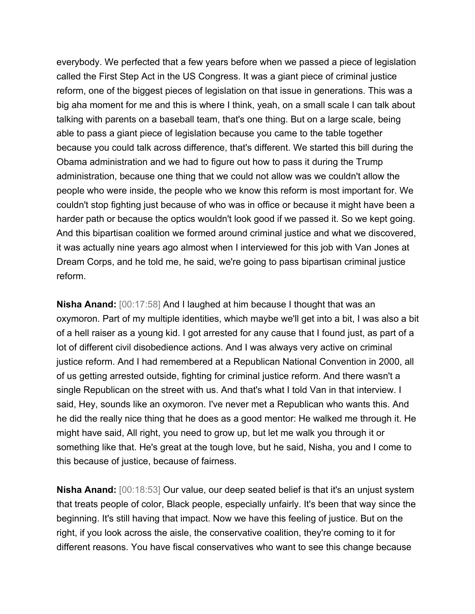everybody. We perfected that a few years before when we passed a piece of legislation called the First Step Act in the US Congress. It was a giant piece of criminal justice reform, one of the biggest pieces of legislation on that issue in generations. This was a big aha moment for me and this is where I think, yeah, on a small scale I can talk about talking with parents on a baseball team, that's one thing. But on a large scale, being able to pass a giant piece of legislation because you came to the table together because you could talk across difference, that's different. We started this bill during the Obama administration and we had to figure out how to pass it during the Trump administration, because one thing that we could not allow was we couldn't allow the people who were inside, the people who we know this reform is most important for. We couldn't stop fighting just because of who was in office or because it might have been a harder path or because the optics wouldn't look good if we passed it. So we kept going. And this bipartisan coalition we formed around criminal justice and what we discovered, it was actually nine years ago almost when I interviewed for this job with Van Jones at Dream Corps, and he told me, he said, we're going to pass bipartisan criminal justice reform.

**Nisha Anand:** [00:17:58] And I laughed at him because I thought that was an oxymoron. Part of my multiple identities, which maybe we'll get into a bit, I was also a bit of a hell raiser as a young kid. I got arrested for any cause that I found just, as part of a lot of different civil disobedience actions. And I was always very active on criminal justice reform. And I had remembered at a Republican National Convention in 2000, all of us getting arrested outside, fighting for criminal justice reform. And there wasn't a single Republican on the street with us. And that's what I told Van in that interview. I said, Hey, sounds like an oxymoron. I've never met a Republican who wants this. And he did the really nice thing that he does as a good mentor: He walked me through it. He might have said, All right, you need to grow up, but let me walk you through it or something like that. He's great at the tough love, but he said, Nisha, you and I come to this because of justice, because of fairness.

**Nisha Anand:** [00:18:53] Our value, our deep seated belief is that it's an unjust system that treats people of color, Black people, especially unfairly. It's been that way since the beginning. It's still having that impact. Now we have this feeling of justice. But on the right, if you look across the aisle, the conservative coalition, they're coming to it for different reasons. You have fiscal conservatives who want to see this change because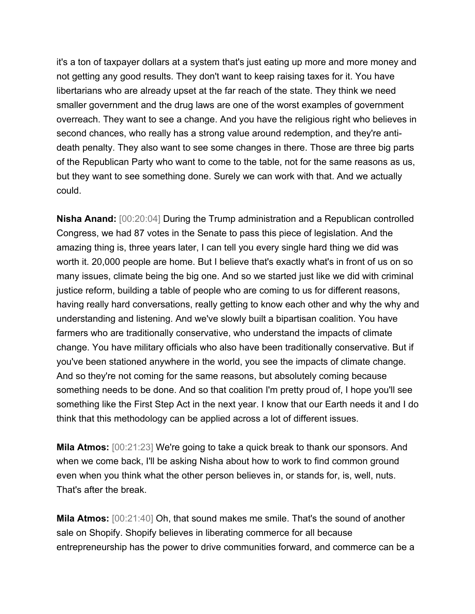it's a ton of taxpayer dollars at a system that's just eating up more and more money and not getting any good results. They don't want to keep raising taxes for it. You have libertarians who are already upset at the far reach of the state. They think we need smaller government and the drug laws are one of the worst examples of government overreach. They want to see a change. And you have the religious right who believes in second chances, who really has a strong value around redemption, and they're antideath penalty. They also want to see some changes in there. Those are three big parts of the Republican Party who want to come to the table, not for the same reasons as us, but they want to see something done. Surely we can work with that. And we actually could.

**Nisha Anand:** [00:20:04] During the Trump administration and a Republican controlled Congress, we had 87 votes in the Senate to pass this piece of legislation. And the amazing thing is, three years later, I can tell you every single hard thing we did was worth it. 20,000 people are home. But I believe that's exactly what's in front of us on so many issues, climate being the big one. And so we started just like we did with criminal justice reform, building a table of people who are coming to us for different reasons, having really hard conversations, really getting to know each other and why the why and understanding and listening. And we've slowly built a bipartisan coalition. You have farmers who are traditionally conservative, who understand the impacts of climate change. You have military officials who also have been traditionally conservative. But if you've been stationed anywhere in the world, you see the impacts of climate change. And so they're not coming for the same reasons, but absolutely coming because something needs to be done. And so that coalition I'm pretty proud of, I hope you'll see something like the First Step Act in the next year. I know that our Earth needs it and I do think that this methodology can be applied across a lot of different issues.

**Mila Atmos:** [00:21:23] We're going to take a quick break to thank our sponsors. And when we come back, I'll be asking Nisha about how to work to find common ground even when you think what the other person believes in, or stands for, is, well, nuts. That's after the break.

**Mila Atmos:** [00:21:40] Oh, that sound makes me smile. That's the sound of another sale on Shopify. Shopify believes in liberating commerce for all because entrepreneurship has the power to drive communities forward, and commerce can be a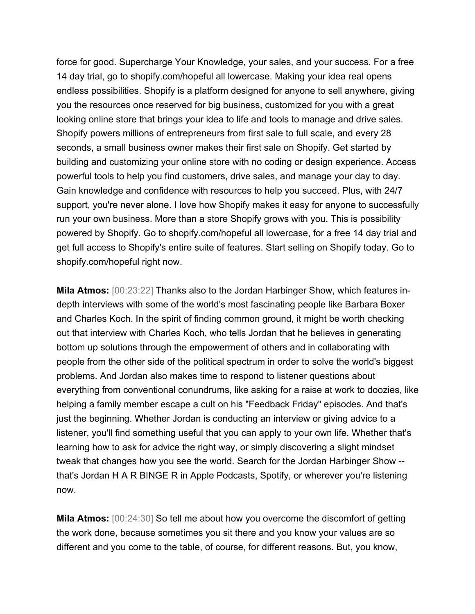force for good. Supercharge Your Knowledge, your sales, and your success. For a free 14 day trial, go to shopify.com/hopeful all lowercase. Making your idea real opens endless possibilities. Shopify is a platform designed for anyone to sell anywhere, giving you the resources once reserved for big business, customized for you with a great looking online store that brings your idea to life and tools to manage and drive sales. Shopify powers millions of entrepreneurs from first sale to full scale, and every 28 seconds, a small business owner makes their first sale on Shopify. Get started by building and customizing your online store with no coding or design experience. Access powerful tools to help you find customers, drive sales, and manage your day to day. Gain knowledge and confidence with resources to help you succeed. Plus, with 24/7 support, you're never alone. I love how Shopify makes it easy for anyone to successfully run your own business. More than a store Shopify grows with you. This is possibility powered by Shopify. Go to shopify.com/hopeful all lowercase, for a free 14 day trial and get full access to Shopify's entire suite of features. Start selling on Shopify today. Go to shopify.com/hopeful right now.

**Mila Atmos:** [00:23:22] Thanks also to the Jordan Harbinger Show, which features indepth interviews with some of the world's most fascinating people like Barbara Boxer and Charles Koch. In the spirit of finding common ground, it might be worth checking out that interview with Charles Koch, who tells Jordan that he believes in generating bottom up solutions through the empowerment of others and in collaborating with people from the other side of the political spectrum in order to solve the world's biggest problems. And Jordan also makes time to respond to listener questions about everything from conventional conundrums, like asking for a raise at work to doozies, like helping a family member escape a cult on his "Feedback Friday" episodes. And that's just the beginning. Whether Jordan is conducting an interview or giving advice to a listener, you'll find something useful that you can apply to your own life. Whether that's learning how to ask for advice the right way, or simply discovering a slight mindset tweak that changes how you see the world. Search for the Jordan Harbinger Show - that's Jordan H A R BINGE R in Apple Podcasts, Spotify, or wherever you're listening now.

**Mila Atmos:** [00:24:30] So tell me about how you overcome the discomfort of getting the work done, because sometimes you sit there and you know your values are so different and you come to the table, of course, for different reasons. But, you know,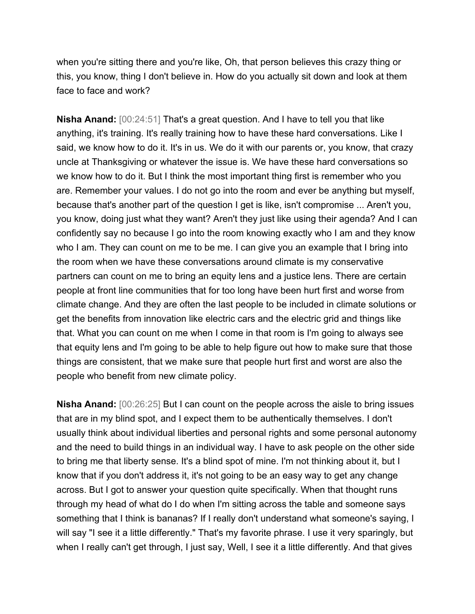when you're sitting there and you're like, Oh, that person believes this crazy thing or this, you know, thing I don't believe in. How do you actually sit down and look at them face to face and work?

**Nisha Anand:** [00:24:51] That's a great question. And I have to tell you that like anything, it's training. It's really training how to have these hard conversations. Like I said, we know how to do it. It's in us. We do it with our parents or, you know, that crazy uncle at Thanksgiving or whatever the issue is. We have these hard conversations so we know how to do it. But I think the most important thing first is remember who you are. Remember your values. I do not go into the room and ever be anything but myself, because that's another part of the question I get is like, isn't compromise ... Aren't you, you know, doing just what they want? Aren't they just like using their agenda? And I can confidently say no because I go into the room knowing exactly who I am and they know who I am. They can count on me to be me. I can give you an example that I bring into the room when we have these conversations around climate is my conservative partners can count on me to bring an equity lens and a justice lens. There are certain people at front line communities that for too long have been hurt first and worse from climate change. And they are often the last people to be included in climate solutions or get the benefits from innovation like electric cars and the electric grid and things like that. What you can count on me when I come in that room is I'm going to always see that equity lens and I'm going to be able to help figure out how to make sure that those things are consistent, that we make sure that people hurt first and worst are also the people who benefit from new climate policy.

**Nisha Anand:** [00:26:25] But I can count on the people across the aisle to bring issues that are in my blind spot, and I expect them to be authentically themselves. I don't usually think about individual liberties and personal rights and some personal autonomy and the need to build things in an individual way. I have to ask people on the other side to bring me that liberty sense. It's a blind spot of mine. I'm not thinking about it, but I know that if you don't address it, it's not going to be an easy way to get any change across. But I got to answer your question quite specifically. When that thought runs through my head of what do I do when I'm sitting across the table and someone says something that I think is bananas? If I really don't understand what someone's saying, I will say "I see it a little differently." That's my favorite phrase. I use it very sparingly, but when I really can't get through, I just say, Well, I see it a little differently. And that gives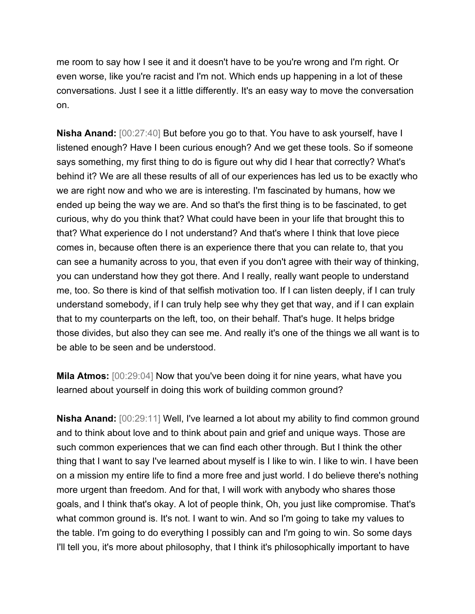me room to say how I see it and it doesn't have to be you're wrong and I'm right. Or even worse, like you're racist and I'm not. Which ends up happening in a lot of these conversations. Just I see it a little differently. It's an easy way to move the conversation on.

**Nisha Anand:** [00:27:40] But before you go to that. You have to ask yourself, have I listened enough? Have I been curious enough? And we get these tools. So if someone says something, my first thing to do is figure out why did I hear that correctly? What's behind it? We are all these results of all of our experiences has led us to be exactly who we are right now and who we are is interesting. I'm fascinated by humans, how we ended up being the way we are. And so that's the first thing is to be fascinated, to get curious, why do you think that? What could have been in your life that brought this to that? What experience do I not understand? And that's where I think that love piece comes in, because often there is an experience there that you can relate to, that you can see a humanity across to you, that even if you don't agree with their way of thinking, you can understand how they got there. And I really, really want people to understand me, too. So there is kind of that selfish motivation too. If I can listen deeply, if I can truly understand somebody, if I can truly help see why they get that way, and if I can explain that to my counterparts on the left, too, on their behalf. That's huge. It helps bridge those divides, but also they can see me. And really it's one of the things we all want is to be able to be seen and be understood.

**Mila Atmos:** [00:29:04] Now that you've been doing it for nine years, what have you learned about yourself in doing this work of building common ground?

**Nisha Anand:** [00:29:11] Well, I've learned a lot about my ability to find common ground and to think about love and to think about pain and grief and unique ways. Those are such common experiences that we can find each other through. But I think the other thing that I want to say I've learned about myself is I like to win. I like to win. I have been on a mission my entire life to find a more free and just world. I do believe there's nothing more urgent than freedom. And for that, I will work with anybody who shares those goals, and I think that's okay. A lot of people think, Oh, you just like compromise. That's what common ground is. It's not. I want to win. And so I'm going to take my values to the table. I'm going to do everything I possibly can and I'm going to win. So some days I'll tell you, it's more about philosophy, that I think it's philosophically important to have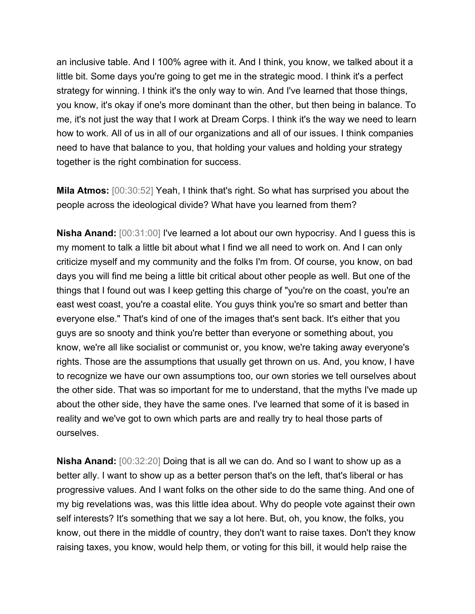an inclusive table. And I 100% agree with it. And I think, you know, we talked about it a little bit. Some days you're going to get me in the strategic mood. I think it's a perfect strategy for winning. I think it's the only way to win. And I've learned that those things, you know, it's okay if one's more dominant than the other, but then being in balance. To me, it's not just the way that I work at Dream Corps. I think it's the way we need to learn how to work. All of us in all of our organizations and all of our issues. I think companies need to have that balance to you, that holding your values and holding your strategy together is the right combination for success.

**Mila Atmos:** [00:30:52] Yeah, I think that's right. So what has surprised you about the people across the ideological divide? What have you learned from them?

**Nisha Anand:** [00:31:00] I've learned a lot about our own hypocrisy. And I guess this is my moment to talk a little bit about what I find we all need to work on. And I can only criticize myself and my community and the folks I'm from. Of course, you know, on bad days you will find me being a little bit critical about other people as well. But one of the things that I found out was I keep getting this charge of "you're on the coast, you're an east west coast, you're a coastal elite. You guys think you're so smart and better than everyone else." That's kind of one of the images that's sent back. It's either that you guys are so snooty and think you're better than everyone or something about, you know, we're all like socialist or communist or, you know, we're taking away everyone's rights. Those are the assumptions that usually get thrown on us. And, you know, I have to recognize we have our own assumptions too, our own stories we tell ourselves about the other side. That was so important for me to understand, that the myths I've made up about the other side, they have the same ones. I've learned that some of it is based in reality and we've got to own which parts are and really try to heal those parts of ourselves.

**Nisha Anand:** [00:32:20] Doing that is all we can do. And so I want to show up as a better ally. I want to show up as a better person that's on the left, that's liberal or has progressive values. And I want folks on the other side to do the same thing. And one of my big revelations was, was this little idea about. Why do people vote against their own self interests? It's something that we say a lot here. But, oh, you know, the folks, you know, out there in the middle of country, they don't want to raise taxes. Don't they know raising taxes, you know, would help them, or voting for this bill, it would help raise the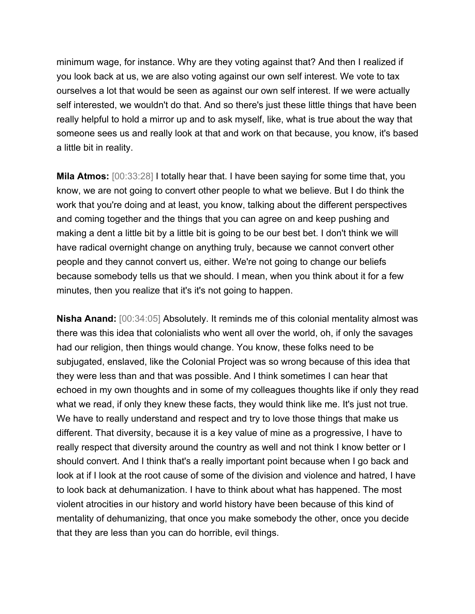minimum wage, for instance. Why are they voting against that? And then I realized if you look back at us, we are also voting against our own self interest. We vote to tax ourselves a lot that would be seen as against our own self interest. If we were actually self interested, we wouldn't do that. And so there's just these little things that have been really helpful to hold a mirror up and to ask myself, like, what is true about the way that someone sees us and really look at that and work on that because, you know, it's based a little bit in reality.

**Mila Atmos:** [00:33:28] I totally hear that. I have been saying for some time that, you know, we are not going to convert other people to what we believe. But I do think the work that you're doing and at least, you know, talking about the different perspectives and coming together and the things that you can agree on and keep pushing and making a dent a little bit by a little bit is going to be our best bet. I don't think we will have radical overnight change on anything truly, because we cannot convert other people and they cannot convert us, either. We're not going to change our beliefs because somebody tells us that we should. I mean, when you think about it for a few minutes, then you realize that it's it's not going to happen.

**Nisha Anand:** [00:34:05] Absolutely. It reminds me of this colonial mentality almost was there was this idea that colonialists who went all over the world, oh, if only the savages had our religion, then things would change. You know, these folks need to be subjugated, enslaved, like the Colonial Project was so wrong because of this idea that they were less than and that was possible. And I think sometimes I can hear that echoed in my own thoughts and in some of my colleagues thoughts like if only they read what we read, if only they knew these facts, they would think like me. It's just not true. We have to really understand and respect and try to love those things that make us different. That diversity, because it is a key value of mine as a progressive, I have to really respect that diversity around the country as well and not think I know better or I should convert. And I think that's a really important point because when I go back and look at if I look at the root cause of some of the division and violence and hatred, I have to look back at dehumanization. I have to think about what has happened. The most violent atrocities in our history and world history have been because of this kind of mentality of dehumanizing, that once you make somebody the other, once you decide that they are less than you can do horrible, evil things.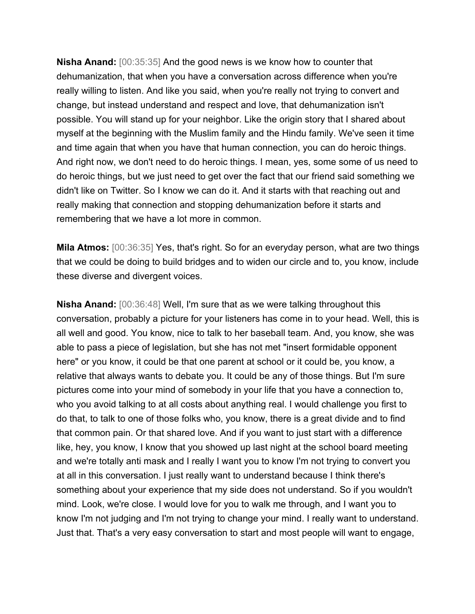**Nisha Anand:** [00:35:35] And the good news is we know how to counter that dehumanization, that when you have a conversation across difference when you're really willing to listen. And like you said, when you're really not trying to convert and change, but instead understand and respect and love, that dehumanization isn't possible. You will stand up for your neighbor. Like the origin story that I shared about myself at the beginning with the Muslim family and the Hindu family. We've seen it time and time again that when you have that human connection, you can do heroic things. And right now, we don't need to do heroic things. I mean, yes, some some of us need to do heroic things, but we just need to get over the fact that our friend said something we didn't like on Twitter. So I know we can do it. And it starts with that reaching out and really making that connection and stopping dehumanization before it starts and remembering that we have a lot more in common.

**Mila Atmos:** [00:36:35] Yes, that's right. So for an everyday person, what are two things that we could be doing to build bridges and to widen our circle and to, you know, include these diverse and divergent voices.

**Nisha Anand:** [00:36:48] Well, I'm sure that as we were talking throughout this conversation, probably a picture for your listeners has come in to your head. Well, this is all well and good. You know, nice to talk to her baseball team. And, you know, she was able to pass a piece of legislation, but she has not met "insert formidable opponent here" or you know, it could be that one parent at school or it could be, you know, a relative that always wants to debate you. It could be any of those things. But I'm sure pictures come into your mind of somebody in your life that you have a connection to, who you avoid talking to at all costs about anything real. I would challenge you first to do that, to talk to one of those folks who, you know, there is a great divide and to find that common pain. Or that shared love. And if you want to just start with a difference like, hey, you know, I know that you showed up last night at the school board meeting and we're totally anti mask and I really I want you to know I'm not trying to convert you at all in this conversation. I just really want to understand because I think there's something about your experience that my side does not understand. So if you wouldn't mind. Look, we're close. I would love for you to walk me through, and I want you to know I'm not judging and I'm not trying to change your mind. I really want to understand. Just that. That's a very easy conversation to start and most people will want to engage,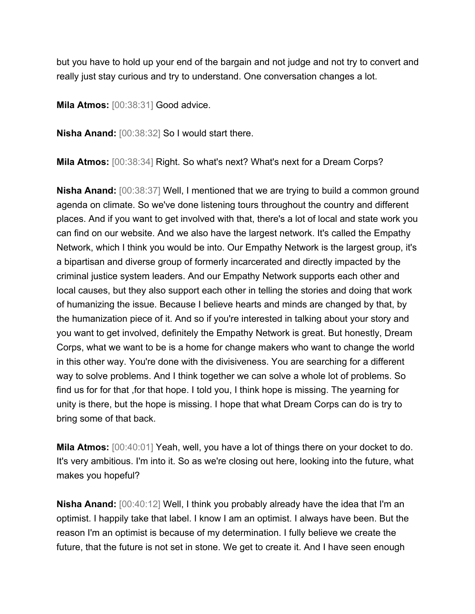but you have to hold up your end of the bargain and not judge and not try to convert and really just stay curious and try to understand. One conversation changes a lot.

**Mila Atmos:** [00:38:31] Good advice.

**Nisha Anand:** [00:38:32] So I would start there.

**Mila Atmos:** [00:38:34] Right. So what's next? What's next for a Dream Corps?

**Nisha Anand:** [00:38:37] Well, I mentioned that we are trying to build a common ground agenda on climate. So we've done listening tours throughout the country and different places. And if you want to get involved with that, there's a lot of local and state work you can find on our website. And we also have the largest network. It's called the Empathy Network, which I think you would be into. Our Empathy Network is the largest group, it's a bipartisan and diverse group of formerly incarcerated and directly impacted by the criminal justice system leaders. And our Empathy Network supports each other and local causes, but they also support each other in telling the stories and doing that work of humanizing the issue. Because I believe hearts and minds are changed by that, by the humanization piece of it. And so if you're interested in talking about your story and you want to get involved, definitely the Empathy Network is great. But honestly, Dream Corps, what we want to be is a home for change makers who want to change the world in this other way. You're done with the divisiveness. You are searching for a different way to solve problems. And I think together we can solve a whole lot of problems. So find us for for that ,for that hope. I told you, I think hope is missing. The yearning for unity is there, but the hope is missing. I hope that what Dream Corps can do is try to bring some of that back.

**Mila Atmos:** [00:40:01] Yeah, well, you have a lot of things there on your docket to do. It's very ambitious. I'm into it. So as we're closing out here, looking into the future, what makes you hopeful?

**Nisha Anand:** [00:40:12] Well, I think you probably already have the idea that I'm an optimist. I happily take that label. I know I am an optimist. I always have been. But the reason I'm an optimist is because of my determination. I fully believe we create the future, that the future is not set in stone. We get to create it. And I have seen enough